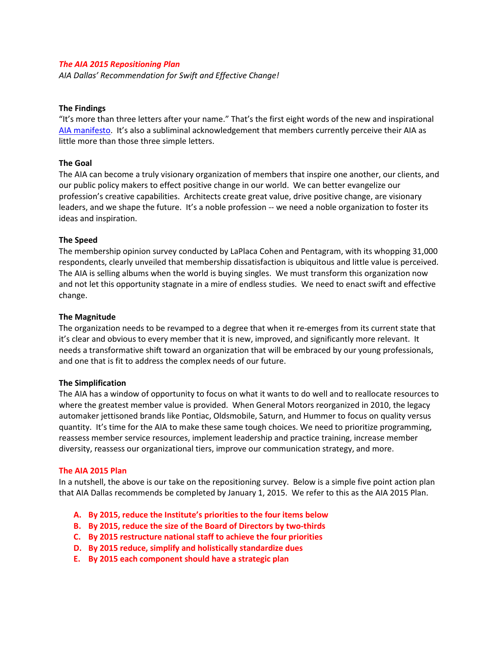## *The AIA 2015 Repositioning Plan*

*AIA Dallas' Recommendation for Swift and Effective Change!* 

## **The Findings**

"It's more than three letters after your name." That's the first eight words of the new and inspirational AIA manifesto. It's also a subliminal acknowledgement that members currently perceive their AIA as little more than those three simple letters.

## **The Goal**

The AIA can become a truly visionary organization of members that inspire one another, our clients, and our public policy makers to effect positive change in our world. We can better evangelize our profession's creative capabilities. Architects create great value, drive positive change, are visionary leaders, and we shape the future. It's a noble profession -- we need a noble organization to foster its ideas and inspiration.

## **The Speed**

The membership opinion survey conducted by LaPlaca Cohen and Pentagram, with its whopping 31,000 respondents, clearly unveiled that membership dissatisfaction is ubiquitous and little value is perceived. The AIA is selling albums when the world is buying singles. We must transform this organization now and not let this opportunity stagnate in a mire of endless studies. We need to enact swift and effective change.

## **The Magnitude**

The organization needs to be revamped to a degree that when it re-emerges from its current state that it's clear and obvious to every member that it is new, improved, and significantly more relevant. It needs a transformative shift toward an organization that will be embraced by our young professionals, and one that is fit to address the complex needs of our future.

#### **The Simplification**

The AIA has a window of opportunity to focus on what it wants to do well and to reallocate resources to where the greatest member value is provided. When General Motors reorganized in 2010, the legacy automaker jettisoned brands like Pontiac, Oldsmobile, Saturn, and Hummer to focus on quality versus quantity. It's time for the AIA to make these same tough choices. We need to prioritize programming, reassess member service resources, implement leadership and practice training, increase member diversity, reassess our organizational tiers, improve our communication strategy, and more.

#### **The AIA 2015 Plan**

In a nutshell, the above is our take on the repositioning survey. Below is a simple five point action plan that AIA Dallas recommends be completed by January 1, 2015. We refer to this as the AIA 2015 Plan.

- **A. By 2015, reduce the Institute's priorities to the four items below**
- **B. By 2015, reduce the size of the Board of Directors by two-thirds**
- **C. By 2015 restructure national staff to achieve the four priorities**
- **D. By 2015 reduce, simplify and holistically standardize dues**
- **E. By 2015 each component should have a strategic plan**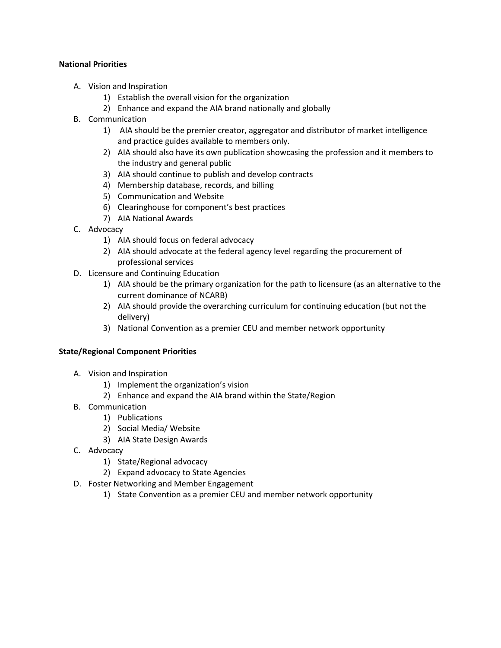# **National Priorities**

- A. Vision and Inspiration
	- 1) Establish the overall vision for the organization
	- 2) Enhance and expand the AIA brand nationally and globally
- B. Communication
	- 1) AIA should be the premier creator, aggregator and distributor of market intelligence and practice guides available to members only.
	- 2) AIA should also have its own publication showcasing the profession and it members to the industry and general public
	- 3) AIA should continue to publish and develop contracts
	- 4) Membership database, records, and billing
	- 5) Communication and Website
	- 6) Clearinghouse for component's best practices
	- 7) AIA National Awards
- C. Advocacy
	- 1) AIA should focus on federal advocacy
	- 2) AIA should advocate at the federal agency level regarding the procurement of professional services
- D. Licensure and Continuing Education
	- 1) AIA should be the primary organization for the path to licensure (as an alternative to the current dominance of NCARB)
	- 2) AIA should provide the overarching curriculum for continuing education (but not the delivery)
	- 3) National Convention as a premier CEU and member network opportunity

# **State/Regional Component Priorities**

- A. Vision and Inspiration
	- 1) Implement the organization's vision
	- 2) Enhance and expand the AIA brand within the State/Region
- B. Communication
	- 1) Publications
	- 2) Social Media/ Website
	- 3) AIA State Design Awards
- C. Advocacy
	- 1) State/Regional advocacy
	- 2) Expand advocacy to State Agencies
- D. Foster Networking and Member Engagement
	- 1) State Convention as a premier CEU and member network opportunity